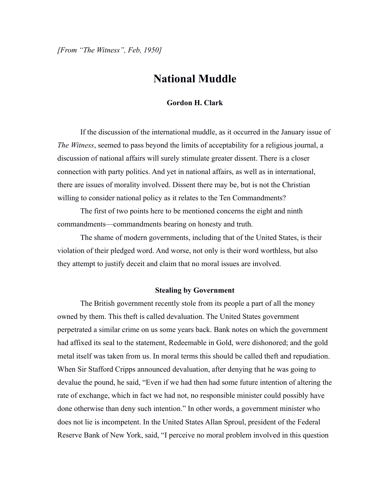*[From "The Witness", Feb, 1950]*

## **National Muddle**

## **Gordon H. Clark**

If the discussion of the international muddle, as it occurred in the January issue of *The Witness*, seemed to pass beyond the limits of acceptability for a religious journal, a discussion of national affairs will surely stimulate greater dissent. There is a closer connection with party politics. And yet in national affairs, as well as in international, there are issues of morality involved. Dissent there may be, but is not the Christian willing to consider national policy as it relates to the Ten Commandments?

The first of two points here to be mentioned concerns the eight and ninth commandments—commandments bearing on honesty and truth.

The shame of modern governments, including that of the United States, is their violation of their pledged word. And worse, not only is their word worthless, but also they attempt to justify deceit and claim that no moral issues are involved.

## **Stealing by Government**

The British government recently stole from its people a part of all the money owned by them. This theft is called devaluation. The United States government perpetrated a similar crime on us some years back. Bank notes on which the government had affixed its seal to the statement, Redeemable in Gold, were dishonored; and the gold metal itself was taken from us. In moral terms this should be called theft and repudiation. When Sir Stafford Cripps announced devaluation, after denying that he was going to devalue the pound, he said, "Even if we had then had some future intention of altering the rate of exchange, which in fact we had not, no responsible minister could possibly have done otherwise than deny such intention." In other words, a government minister who does not lie is incompetent. In the United States Allan Sproul, president of the Federal Reserve Bank of New York, said, "I perceive no moral problem involved in this question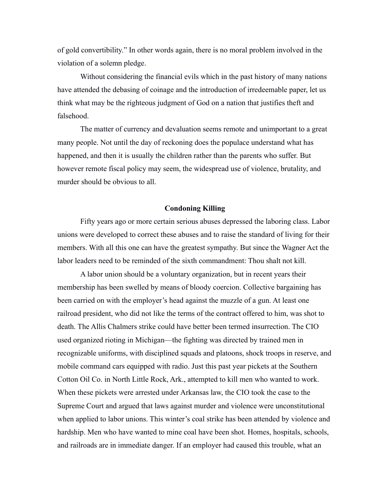of gold convertibility." In other words again, there is no moral problem involved in the violation of a solemn pledge.

Without considering the financial evils which in the past history of many nations have attended the debasing of coinage and the introduction of irredeemable paper, let us think what may be the righteous judgment of God on a nation that justifies theft and falsehood.

The matter of currency and devaluation seems remote and unimportant to a great many people. Not until the day of reckoning does the populace understand what has happened, and then it is usually the children rather than the parents who suffer. But however remote fiscal policy may seem, the widespread use of violence, brutality, and murder should be obvious to all.

## **Condoning Killing**

Fifty years ago or more certain serious abuses depressed the laboring class. Labor unions were developed to correct these abuses and to raise the standard of living for their members. With all this one can have the greatest sympathy. But since the Wagner Act the labor leaders need to be reminded of the sixth commandment: Thou shalt not kill.

A labor union should be a voluntary organization, but in recent years their membership has been swelled by means of bloody coercion. Collective bargaining has been carried on with the employer's head against the muzzle of a gun. At least one railroad president, who did not like the terms of the contract offered to him, was shot to death. The Allis Chalmers strike could have better been termed insurrection. The CIO used organized rioting in Michigan—the fighting was directed by trained men in recognizable uniforms, with disciplined squads and platoons, shock troops in reserve, and mobile command cars equipped with radio. Just this past year pickets at the Southern Cotton Oil Co. in North Little Rock, Ark., attempted to kill men who wanted to work. When these pickets were arrested under Arkansas law, the CIO took the case to the Supreme Court and argued that laws against murder and violence were unconstitutional when applied to labor unions. This winter's coal strike has been attended by violence and hardship. Men who have wanted to mine coal have been shot. Homes, hospitals, schools, and railroads are in immediate danger. If an employer had caused this trouble, what an